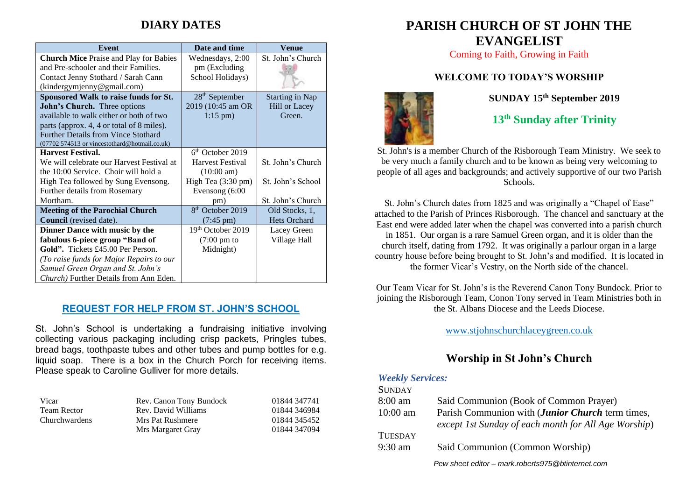# **DIARY DATES**

| <b>Event</b>                                   | Date and time                | Venue                  |
|------------------------------------------------|------------------------------|------------------------|
| <b>Church Mice Praise and Play for Babies</b>  | Wednesdays, 2:00             | St. John's Church      |
| and Pre-schooler and their Families.           | pm (Excluding                |                        |
| Contact Jenny Stothard / Sarah Cann            | School Holidays)             |                        |
| (kindergymjenny@gmail.com)                     |                              |                        |
| Sponsored Walk to raise funds for St.          | $28th$ September             | <b>Starting in Nap</b> |
| John's Church. Three options                   | 2019 (10:45 am OR            | Hill or Lacey          |
| available to walk either or both of two        | $1:15 \text{ pm}$ )          | Green.                 |
| parts (approx. 4, 4 or total of 8 miles).      |                              |                        |
| <b>Further Details from Vince Stothard</b>     |                              |                        |
| (07702 574513 or vincestothard@hotmail.co.uk)  |                              |                        |
| <b>Harvest Festival.</b>                       | $6th$ October 2019           |                        |
| We will celebrate our Harvest Festival at      | Harvest Festival             | St. John's Church      |
| the 10:00 Service. Choir will hold a           | $(10:00 \text{ am})$         |                        |
| High Tea followed by Sung Evensong.            | High Tea $(3:30 \text{ pm})$ | St. John's School      |
| Further details from Rosemary                  | Evensong (6:00               |                        |
| Mortham.                                       | pm)                          | St. John's Church      |
| <b>Meeting of the Parochial Church</b>         | 8 <sup>th</sup> October 2019 | Old Stocks, 1,         |
| Council (revised date).                        | $(7:45 \text{ pm})$          | <b>Hets Orchard</b>    |
| Dinner Dance with music by the                 | 19th October 2019            | Lacey Green            |
| fabulous 6-piece group "Band of                | $(7:00 \text{ pm to})$       | Village Hall           |
| Gold". Tickets £45.00 Per Person.              | Midnight)                    |                        |
| (To raise funds for Major Repairs to our       |                              |                        |
| Samuel Green Organ and St. John's              |                              |                        |
| <i>Church</i> ) Further Details from Ann Eden. |                              |                        |

### **REQUEST FOR HELP FROM ST. JOHN'S SCHOOL**

St. John's School is undertaking a fundraising initiative involving collecting various packaging including crisp packets, Pringles tubes, bread bags, toothpaste tubes and other tubes and pump bottles for e.g. liquid soap. There is a box in the Church Porch for receiving items. Please speak to Caroline Gulliver for more details.

| Vicar                | Rev. Canon Tony Bundock | 01844 347741 |
|----------------------|-------------------------|--------------|
| <b>Team Rector</b>   | Rev. David Williams     | 01844 346984 |
| <b>Churchwardens</b> | Mrs Pat Rushmere        | 01844 345452 |
|                      | Mrs Margaret Gray       | 01844 347094 |

# **PARISH CHURCH OF ST JOHN THE EVANGELIST**

Coming to Faith, Growing in Faith

# **WELCOME TO TODAY'S WORSHIP**



**SUNDAY 15th September 2019**

**13 th Sunday after Trinity**

St. John's is a member Church of the Risborough Team Ministry. We seek to be very much a family church and to be known as being very welcoming to people of all ages and backgrounds; and actively supportive of our two Parish Schools.

St. John's Church dates from 1825 and was originally a "Chapel of Ease" attached to the Parish of Princes Risborough. The chancel and sanctuary at the East end were added later when the chapel was converted into a parish church in 1851. Our organ is a rare Samuel Green organ, and it is older than the church itself, dating from 1792. It was originally a parlour organ in a large country house before being brought to St. John's and modified. It is located in the former Vicar's Vestry, on the North side of the chancel.

Our Team Vicar for St. John's is the Reverend Canon Tony Bundock. Prior to joining the Risborough Team, Conon Tony served in Team Ministries both in the St. Albans Diocese and the Leeds Diocese.

[www.stjohnschurchlaceygreen.co.uk](http://www.stjohnschurchlaceygreen.co.uk/)

# **Worship in St John's Church**

#### *Weekly Services:*

| <b>SUNDAY</b>  |                                                      |
|----------------|------------------------------------------------------|
| $8:00$ am      | Said Communion (Book of Common Prayer)               |
| $10:00$ am     | Parish Communion with (Junior Church term times,     |
|                | except 1st Sunday of each month for All Age Worship) |
| <b>TUESDAY</b> |                                                      |
| $9:30$ am      | Said Communion (Common Worship)                      |
|                | Pew sheet editor - mark.roberts975@btinternet.com    |